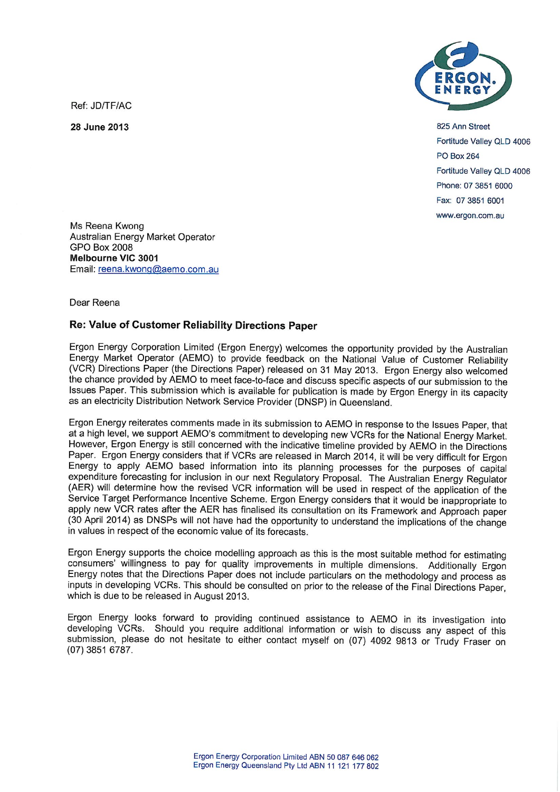Ref: JD/TF/AC

**28 June 2013** 



825 Ann Street Fortitude Valley OLD 4006 PO Box 264 Fortitude Valley QLD 4006 Phone: 07 3851 6000 Fax: 07 3851 6001 www.ergon.com.au

Ms Reena Kwong Australian Energy Market Operator GPO Box 2008 **Melbourne VIC 3001**  Email: reena.kwong@aemo.com.au

## Dear Reena

## **Re: Value of Customer Reliability Directions Paper**

Ergon Energy Corporation Limited (Ergon Energy) welcomes the opportunity provided by the Australian Energy Market Operator (AEMO) to provide feedback on the National Value of Customer Reliability (VCR) Directions Paper (the Directions Paper) released on 31 May 2013. Ergon Energy also welcomed the chance provided by AEMO to meet face-to-face and discuss specific aspects of our submission to the Issues Paper. This submission which is available for publication is made by Ergon Energy in its capacity as an electricity Distribution Network Service Provider (DNSP) in Queensland.

Ergon Energy reiterates comments made in its submission to AEMO in response to the Issues Paper, that at a high level, we support AEMO's commitment to developing new VCRs for the National Energy Market. However, Ergon Energy is still concerned with the indicative timeline provided by AEMO in the Directions Paper. Ergon Energy considers that if VCRs are released in March 2014, it will be very difficult for Ergon Energy to apply AEMO based information into its planning processes for the purposes of capital expenditure forecasting for inclusion in our next Regulatory Proposal. The Australian Energy Regulator (AER) will determine how the revised VCR information will be used in respect of the application of the Service Target Performance Incentive Scheme. Ergon Energy considers that it would be inappropriate to apply new VCR rates after the AER has finalised its consultation on its Framework and Approach paper (30 April 2014) as DNSPs will not have had the opportunity to understand the implications of the change in values in respect of the economic value of its forecasts.

Ergon Energy supports the choice modelling approach as this is the most suitable method for estimating consumers' willingness to pay for quality improvements in multiple dimensions. Additionally Ergon Energy notes that the Directions Paper does not include particulars on the methodology and process as inputs in developing VCRs. This should be consulted on prior to the release of the Final Directions Paper, which is due to be released in August 2013.

Ergon Energy looks forward to providing continued assistance to AEMO in its investigation into developing VCRs. Should you require additional information or wish to discuss any aspect of this submission, please do not hesitate to either contact myself on (07) 4092 9813 or Trudy Fraser on (07) 3851 6787.